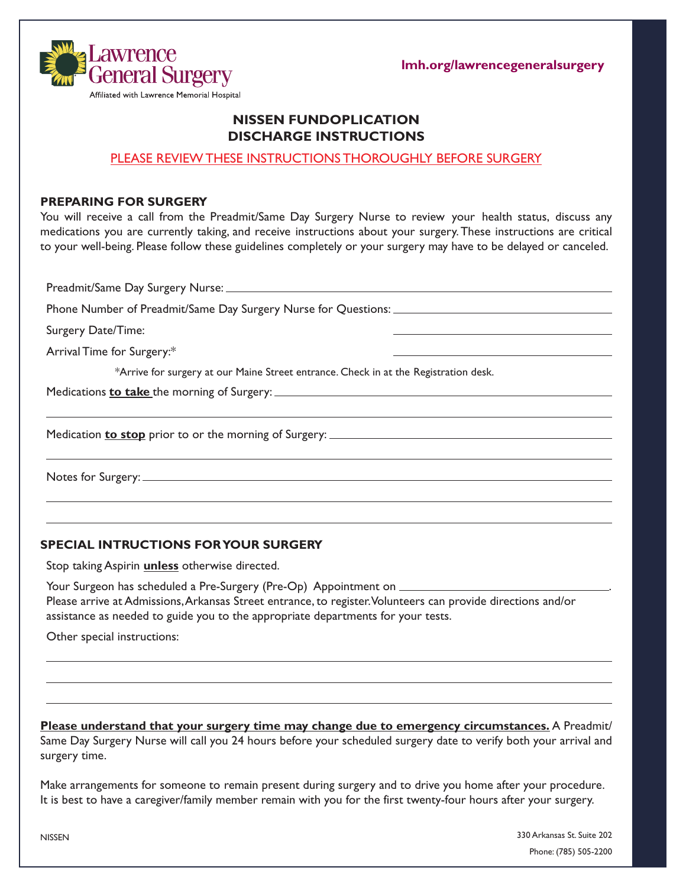**lmh.org/lawrencegeneralsurgery**



# **NISSEN FUNDOPLICATION DISCHARGE INSTRUCTIONS**

### PLEASE REVIEW THESE INSTRUCTIONS THOROUGHLY BEFORE SURGERY

#### **PREPARING FOR SURGERY**

You will receive a call from the Preadmit/Same Day Surgery Nurse to review your health status, discuss any medications you are currently taking, and receive instructions about your surgery. These instructions are critical to your well-being. Please follow these guidelines completely or your surgery may have to be delayed or canceled.

Preadmit/Same Day Surgery Nurse: Phone Number of Preadmit/Same Day Surgery Nurse for Questions: Surgery Date/Time: Arrival Time for Surgery:\* \*Arrive for surgery at our Maine Street entrance. Check in at the Registration desk. Medications **to take** the morning of Surgery: Medication **to stop** prior to or the morning of Surgery: Notes for Surgery:

#### **SPECIAL INTRUCTIONS FOR YOUR SURGERY**

Stop taking Aspirin **unless** otherwise directed.

Your Surgeon has scheduled a Pre-Surgery (Pre-Op) Appointment on \_\_\_\_\_\_\_\_ Please arrive at Admissions, Arkansas Street entrance, to register. Volunteers can provide directions and/or assistance as needed to guide you to the appropriate departments for your tests.

Other special instructions:

**Please understand that your surgery time may change due to emergency circumstances.** A Preadmit/ Same Day Surgery Nurse will call you 24 hours before your scheduled surgery date to verify both your arrival and surgery time.

Make arrangements for someone to remain present during surgery and to drive you home after your procedure. It is best to have a caregiver/family member remain with you for the first twenty-four hours after your surgery.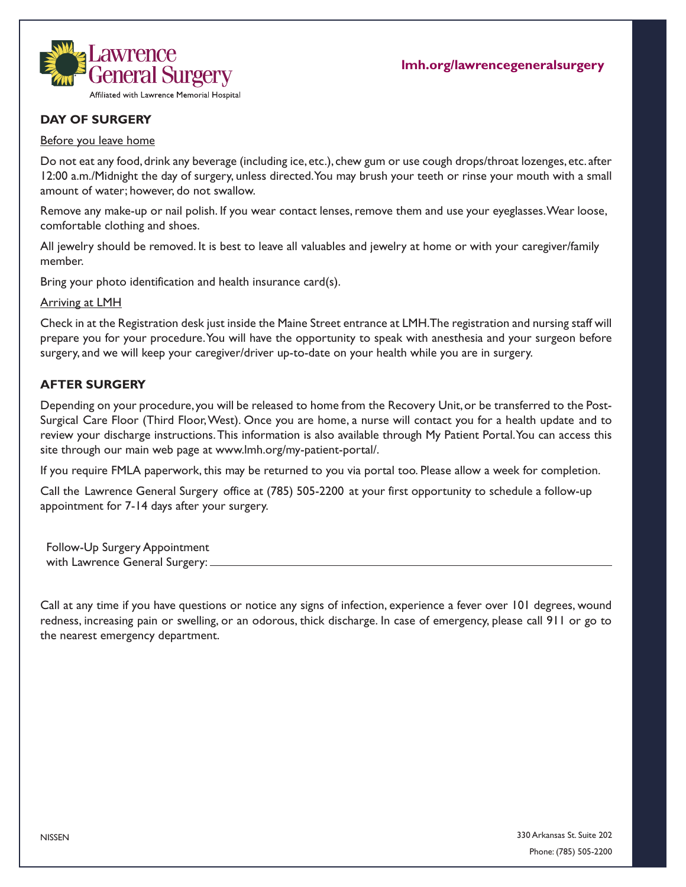

# **DAY OF SURGERY**

#### Before you leave home

Do not eat any food, drink any beverage (including ice, etc.), chew gum or use cough drops/throat lozenges, etc. after 12:00 a.m./Midnight the day of surgery, unless directed. You may brush your teeth or rinse your mouth with a small amount of water; however, do not swallow.

Remove any make-up or nail polish. If you wear contact lenses, remove them and use your eyeglasses. Wear loose, comfortable clothing and shoes.

All jewelry should be removed. It is best to leave all valuables and jewelry at home or with your caregiver/family member.

Bring your photo identification and health insurance card(s).

Arriving at LMH

Check in at the Registration desk just inside the Maine Street entrance at LMH. The registration and nursing staff will prepare you for your procedure. You will have the opportunity to speak with anesthesia and your surgeon before surgery, and we will keep your caregiver/driver up-to-date on your health while you are in surgery.

### **AFTER SURGERY**

Depending on your procedure, you will be released to home from the Recovery Unit, or be transferred to the Post-Surgical Care Floor (Third Floor, West). Once you are home, a nurse will contact you for a health update and to review your discharge instructions.This information is also available through My Patient Portal. You can access this site through our main web page at www.lmh.org/my-patient-portal/.

If you require FMLA paperwork, this may be returned to you via portal too. Please allow a week for completion.

Call the Lawrence General Surgery office at (785) 505-2200 at your first opportunity to schedule a follow-up appointment for 7-14 days after your surgery.

Follow-Up Surgery Appointment with Lawrence General Surgery:

Call at any time if you have questions or notice any signs of infection, experience a fever over 101 degrees, wound redness, increasing pain or swelling, or an odorous, thick discharge. In case of emergency, please call 911 or go to the nearest emergency department.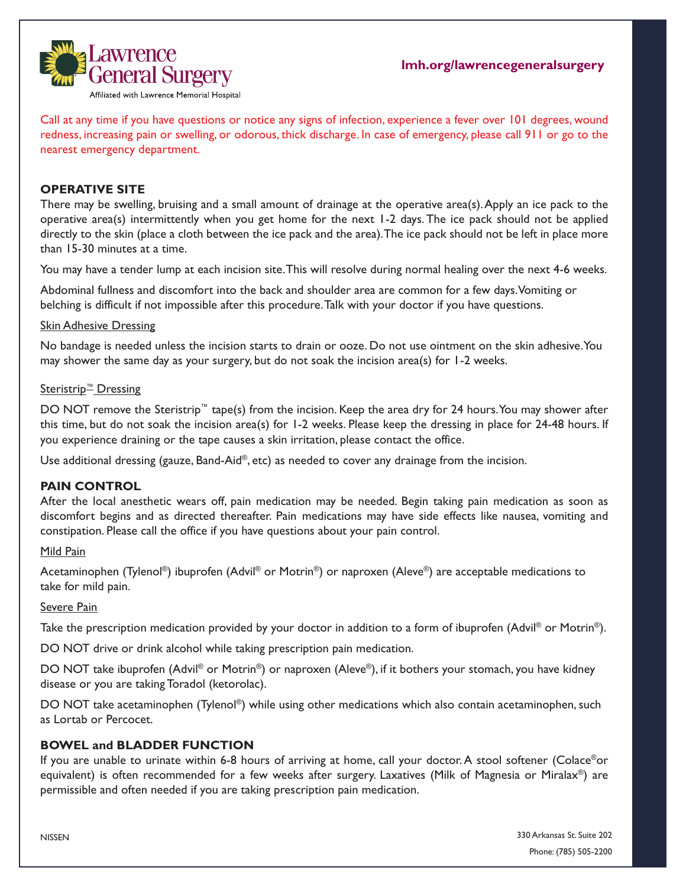

Call at any time if you have questions or notice any signs of infection, experience a fever over 101 degrees, wound redness, increasing pain or swelling, or odorous, thick discharge. In case of emergency, please call 911 or go to the nearest emergency department.

## **OPERATIVE SITE**

There may be swelling, bruising and a small amount of drainage at the operative area(s). Apply an ice pack to the operative area(s) intermittently when you get home for the next 1-2 days. The ice pack should not be applied directly to the skin (place a cloth between the ice pack and the area). The ice pack should not be left in place more than 15-30 minutes at a time.

You may have a tender lump at each incision site. This will resolve during normal healing over the next 4-6 weeks.

Abdominal fullness and discomfort into the back and shoulder area are common for a few days. Vomiting or belching is difficult if not impossible after this procedure. Talk with your doctor if you have questions.

### Skin Adhesive Dressing

No bandage is needed unless the incision starts to drain or ooze. Do not use ointment on the skin adhesive. You may shower the same day as your surgery, but do not soak the incision area(s) for 1-2 weeks.

### Steristrip<sup>™</sup> Dressing

DO NOT remove the Steristrip™ tape(s) from the incision. Keep the area dry for 24 hours. You may shower after this time, but do not soak the incision area(s) for 1-2 weeks. Please keep the dressing in place for 24-48 hours. If you experience draining or the tape causes a skin irritation, please contact the office.

Use additional dressing (gauze, Band-Aid®, etc) as needed to cover any drainage from the incision.

## **PAIN CONTROL**

After the local anesthetic wears off, pain medication may be needed. Begin taking pain medication as soon as discomfort begins and as directed thereafter. Pain medications may have side effects like nausea, vomiting and constipation. Please call the office if you have questions about your pain control.

## Mild Pain

Acetaminophen (Tylenol®) ibuprofen (Advil® or Motrin®) or naproxen (Aleve®) are acceptable medications to take for mild pain.

## Severe Pain

Take the prescription medication provided by your doctor in addition to a form of ibuprofen (Advil<sup>®</sup> or Motrin<sup>®</sup>).

DO NOT drive or drink alcohol while taking prescription pain medication.

DO NOT take ibuprofen (Advil<sup>®</sup> or Motrin<sup>®</sup>) or naproxen (Aleve®), if it bothers your stomach, you have kidney disease or you are taking Toradol (ketorolac).

DO NOT take acetaminophen (Tylenol®) while using other medications which also contain acetaminophen, such as Lortab or Percocet.

## **BOWEL and BLADDER FUNCTION**

If you are unable to urinate within 6-8 hours of arriving at home, call your doctor. A stool softener (Colace®or equivalent) is often recommended for a few weeks after surgery. Laxatives (Milk of Magnesia or Miralax®) are permissible and often needed if you are taking prescription pain medication.